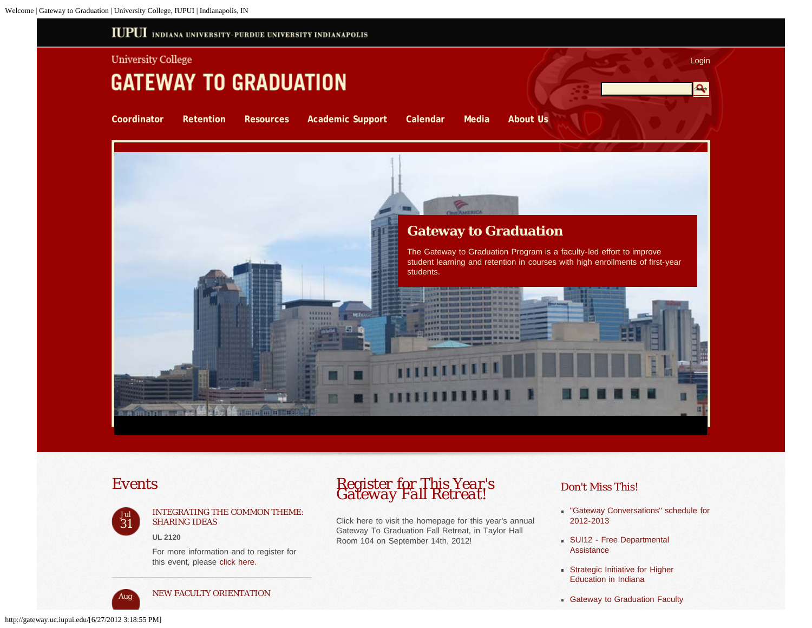<span id="page-0-0"></span>



[INTEGRATING THE COMMON THEME:](http://gateway.uc.iupui.edu/calendar/tabid/2937/vw/3/itemid/1163/d/20120731/Integrating-the-Common-Theme-Sharing-Ideas.aspx) [SHARING IDEAS](http://gateway.uc.iupui.edu/calendar/tabid/2937/vw/3/itemid/1163/d/20120731/Integrating-the-Common-Theme-Sharing-Ideas.aspx)

**UL 2120**

For more information and to register for this event, please [click here.](http://ctl.iupui.edu/Events/eventsRegistration.asp?id=2833)



*Aug* [NEW FACULTY ORIENTATION](http://gateway.uc.iupui.edu/calendar/tabid/2937/vw/3/itemid/1147/d/20120815/New-Faculty-Orientation.aspx)

## *Events Register for This Year's Gateway Fall Retreat!*

Click here to visit the homepage for this year's annual Gateway To Graduation Fall Retreat, in Taylor Hall Room 104 on September 14th, 2012!

## *Don't Miss This!*

- ["Gateway Conversations" schedule for](http://gateway.uc.iupui.edu/Portals/69/Gateway%20Conversations.docx) [2012-2013](http://gateway.uc.iupui.edu/Portals/69/Gateway%20Conversations.docx)
- **[SUI12 Free Departmental](http://gateway.uc.iupui.edu/Portals/69/SUI12-Free%20Departmental%20Assistance.pdf) [Assistance](http://gateway.uc.iupui.edu/Portals/69/SUI12-Free%20Departmental%20Assistance.pdf)**
- **[Strategic Initiative for Higher](http://gateway.uc.iupui.edu/Portals/69/ICHE-Accountability.pdf)** [Education in Indiana](http://gateway.uc.iupui.edu/Portals/69/ICHE-Accountability.pdf)
- **[Gateway to Graduation Faculty](http://gateway.uc.iupui.edu/Portals/69/Gateway%20to%20Graduation%20Faculty%20Communities%20of%20Practice%20Application.doc)**